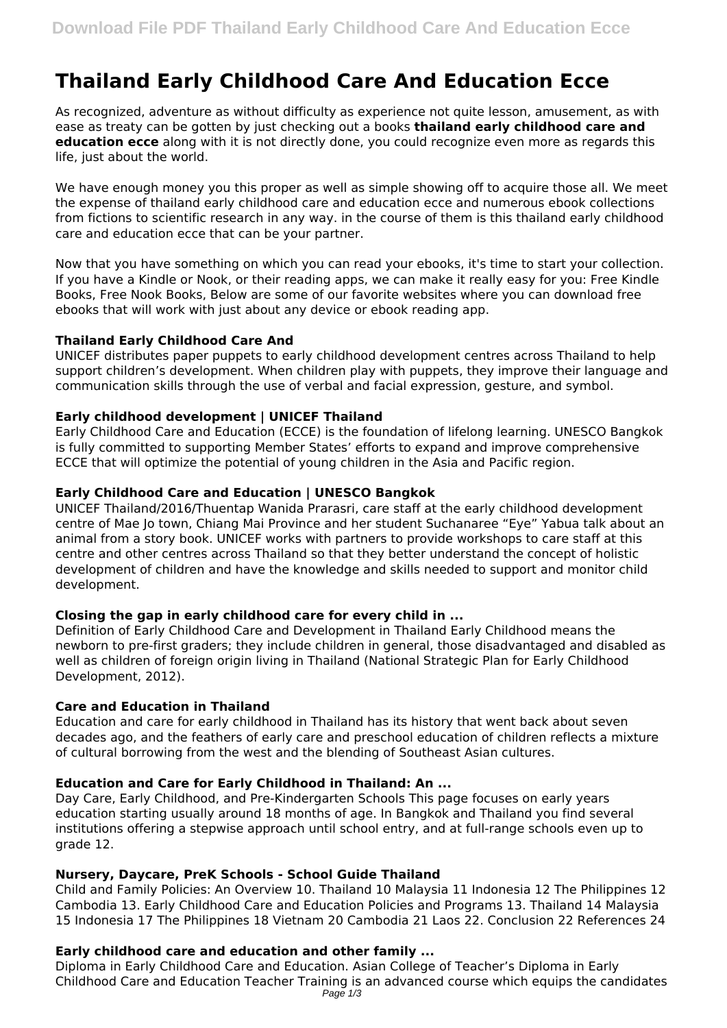# **Thailand Early Childhood Care And Education Ecce**

As recognized, adventure as without difficulty as experience not quite lesson, amusement, as with ease as treaty can be gotten by just checking out a books **thailand early childhood care and education ecce** along with it is not directly done, you could recognize even more as regards this life, just about the world.

We have enough money you this proper as well as simple showing off to acquire those all. We meet the expense of thailand early childhood care and education ecce and numerous ebook collections from fictions to scientific research in any way. in the course of them is this thailand early childhood care and education ecce that can be your partner.

Now that you have something on which you can read your ebooks, it's time to start your collection. If you have a Kindle or Nook, or their reading apps, we can make it really easy for you: Free Kindle Books, Free Nook Books, Below are some of our favorite websites where you can download free ebooks that will work with just about any device or ebook reading app.

# **Thailand Early Childhood Care And**

UNICEF distributes paper puppets to early childhood development centres across Thailand to help support children's development. When children play with puppets, they improve their language and communication skills through the use of verbal and facial expression, gesture, and symbol.

## **Early childhood development | UNICEF Thailand**

Early Childhood Care and Education (ECCE) is the foundation of lifelong learning. UNESCO Bangkok is fully committed to supporting Member States' efforts to expand and improve comprehensive ECCE that will optimize the potential of young children in the Asia and Pacific region.

## **Early Childhood Care and Education | UNESCO Bangkok**

UNICEF Thailand/2016/Thuentap Wanida Prarasri, care staff at the early childhood development centre of Mae Jo town, Chiang Mai Province and her student Suchanaree "Eye" Yabua talk about an animal from a story book. UNICEF works with partners to provide workshops to care staff at this centre and other centres across Thailand so that they better understand the concept of holistic development of children and have the knowledge and skills needed to support and monitor child development.

## **Closing the gap in early childhood care for every child in ...**

Definition of Early Childhood Care and Development in Thailand Early Childhood means the newborn to pre-first graders; they include children in general, those disadvantaged and disabled as well as children of foreign origin living in Thailand (National Strategic Plan for Early Childhood Development, 2012).

#### **Care and Education in Thailand**

Education and care for early childhood in Thailand has its history that went back about seven decades ago, and the feathers of early care and preschool education of children reflects a mixture of cultural borrowing from the west and the blending of Southeast Asian cultures.

## **Education and Care for Early Childhood in Thailand: An ...**

Day Care, Early Childhood, and Pre-Kindergarten Schools This page focuses on early years education starting usually around 18 months of age. In Bangkok and Thailand you find several institutions offering a stepwise approach until school entry, and at full-range schools even up to grade 12.

## **Nursery, Daycare, PreK Schools - School Guide Thailand**

Child and Family Policies: An Overview 10. Thailand 10 Malaysia 11 Indonesia 12 The Philippines 12 Cambodia 13. Early Childhood Care and Education Policies and Programs 13. Thailand 14 Malaysia 15 Indonesia 17 The Philippines 18 Vietnam 20 Cambodia 21 Laos 22. Conclusion 22 References 24

## **Early childhood care and education and other family ...**

Diploma in Early Childhood Care and Education. Asian College of Teacher's Diploma in Early Childhood Care and Education Teacher Training is an advanced course which equips the candidates Page 1/3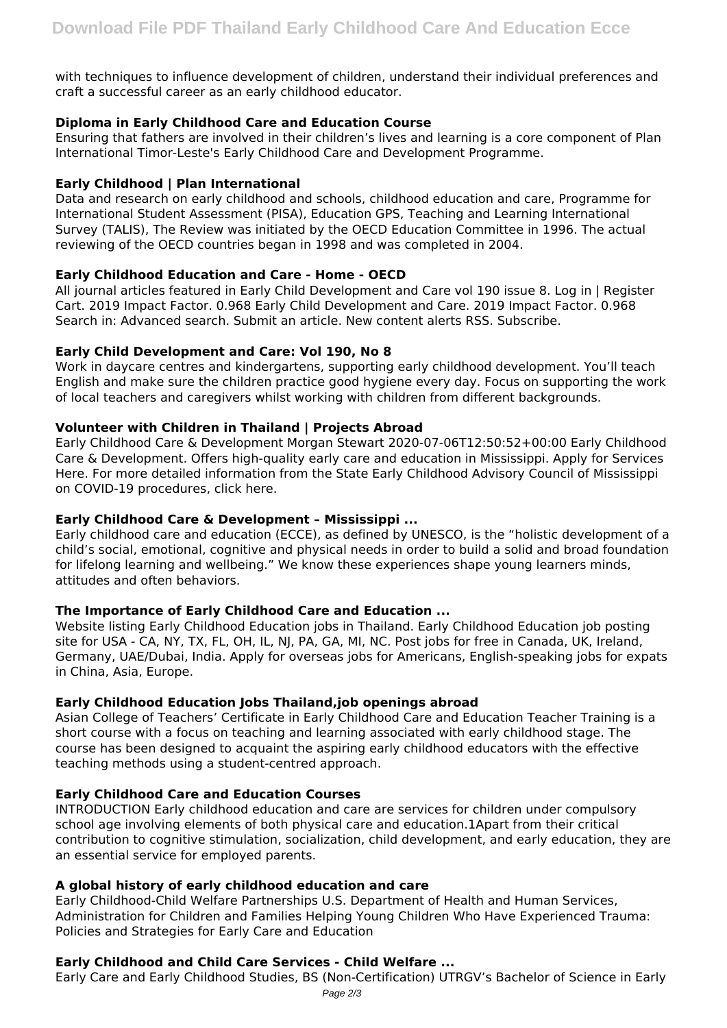with techniques to influence development of children, understand their individual preferences and craft a successful career as an early childhood educator.

## **Diploma in Early Childhood Care and Education Course**

Ensuring that fathers are involved in their children's lives and learning is a core component of Plan International Timor-Leste's Early Childhood Care and Development Programme.

## **Early Childhood | Plan International**

Data and research on early childhood and schools, childhood education and care, Programme for International Student Assessment (PISA), Education GPS, Teaching and Learning International Survey (TALIS), The Review was initiated by the OECD Education Committee in 1996. The actual reviewing of the OECD countries began in 1998 and was completed in 2004.

#### **Early Childhood Education and Care - Home - OECD**

All journal articles featured in Early Child Development and Care vol 190 issue 8. Log in | Register Cart. 2019 Impact Factor. 0.968 Early Child Development and Care. 2019 Impact Factor. 0.968 Search in: Advanced search. Submit an article. New content alerts RSS. Subscribe.

#### **Early Child Development and Care: Vol 190, No 8**

Work in daycare centres and kindergartens, supporting early childhood development. You'll teach English and make sure the children practice good hygiene every day. Focus on supporting the work of local teachers and caregivers whilst working with children from different backgrounds.

#### **Volunteer with Children in Thailand | Projects Abroad**

Early Childhood Care & Development Morgan Stewart 2020-07-06T12:50:52+00:00 Early Childhood Care & Development. Offers high-quality early care and education in Mississippi. Apply for Services Here. For more detailed information from the State Early Childhood Advisory Council of Mississippi on COVID-19 procedures, click here.

## **Early Childhood Care & Development – Mississippi ...**

Early childhood care and education (ECCE), as defined by UNESCO, is the "holistic development of a child's social, emotional, cognitive and physical needs in order to build a solid and broad foundation for lifelong learning and wellbeing." We know these experiences shape young learners minds, attitudes and often behaviors.

## **The Importance of Early Childhood Care and Education ...**

Website listing Early Childhood Education jobs in Thailand. Early Childhood Education job posting site for USA - CA, NY, TX, FL, OH, IL, NJ, PA, GA, MI, NC. Post jobs for free in Canada, UK, Ireland, Germany, UAE/Dubai, India. Apply for overseas jobs for Americans, English-speaking jobs for expats in China, Asia, Europe.

## **Early Childhood Education Jobs Thailand,job openings abroad**

Asian College of Teachers' Certificate in Early Childhood Care and Education Teacher Training is a short course with a focus on teaching and learning associated with early childhood stage. The course has been designed to acquaint the aspiring early childhood educators with the effective teaching methods using a student-centred approach.

# **Early Childhood Care and Education Courses**

INTRODUCTION Early childhood education and care are services for children under compulsory school age involving elements of both physical care and education.1Apart from their critical contribution to cognitive stimulation, socialization, child development, and early education, they are an essential service for employed parents.

## **A global history of early childhood education and care**

Early Childhood-Child Welfare Partnerships U.S. Department of Health and Human Services, Administration for Children and Families Helping Young Children Who Have Experienced Trauma: Policies and Strategies for Early Care and Education

#### **Early Childhood and Child Care Services - Child Welfare ...**

Early Care and Early Childhood Studies, BS (Non-Certification) UTRGV's Bachelor of Science in Early